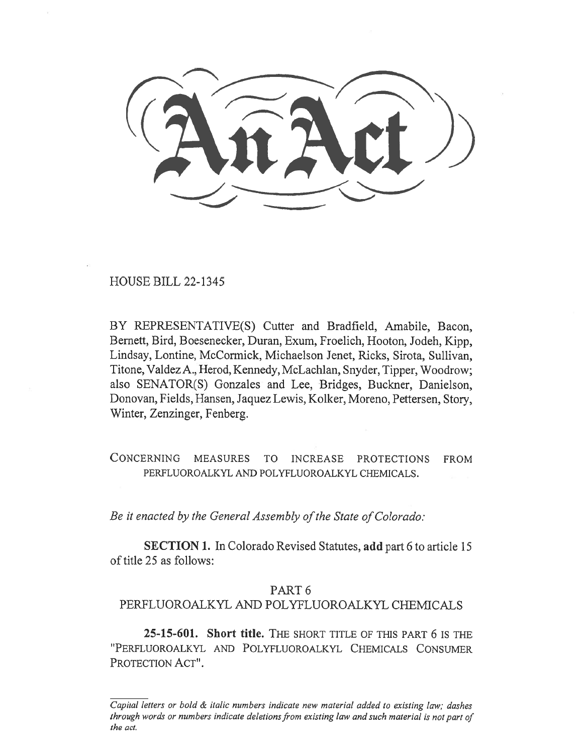HOUSE BILL 22-1345

BY REPRESENTATIVE(S) Cutter and Bradfield, Amabile, Bacon, Bernett, Bird, Boesenecker, Duran, Exum, Froelich, Hooton, Jodeh, Kipp, Lindsay, Lontine, McCormick, Michaelson Jenet, Ricks, Sirota, Sullivan, Titone, Valdez A., Herod, Kennedy, McLachlan, Snyder, Tipper, Woodrow; also SENATOR(S) Gonzales and Lee, Bridges, Buckner, Danielson, Donovan, Fields, Hansen, Jaquez Lewis, Kolker, Moreno, Pettersen, Story, Winter, Zenzinger, Fenberg.

CONCERNING MEASURES TO INCREASE PROTECTIONS FROM PERFLUOROALKYL AND POLYFLUOROALKYL CHEMICALS.

Be it enacted by the General Assembly of the State of Colorado:

SECTION 1. In Colorado Revised Statutes, add part 6 to article 15 of title 25 as follows:

## PART 6

## PERFLUOROALKYL AND POLYFLUOROALKYL CHEMICALS

25-15-601. Short title. THE SHORT TITLE OF THIS PART 6 IS THE "PERFLUOROALKYL AND POLYFLUOROALKYL CHEMICALS CONSUMER PROTECTION ACT".

Capital letters or bold & italic numbers indicate new material added to existing law; dashes through words or numbers indicate deletions from existing law and such material is not part of the act.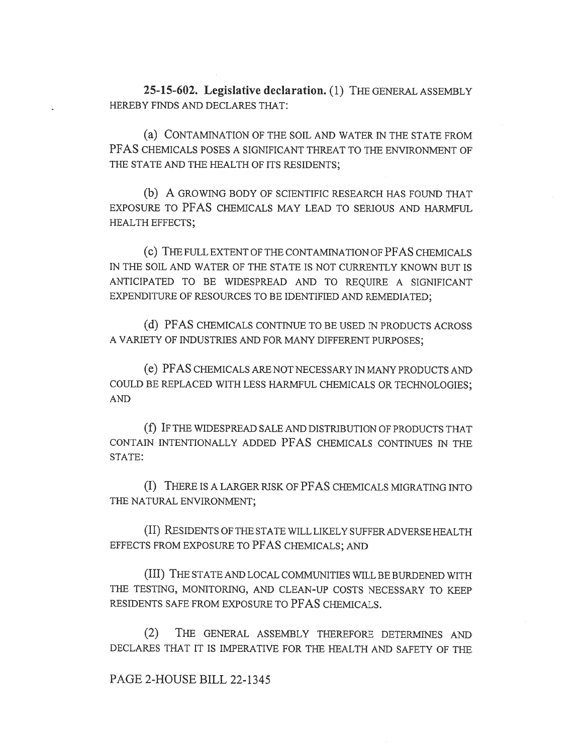25-15-602. Legislative declaration. (1) THE GENERAL ASSEMBLY HEREBY FINDS AND DECLARES THAT:

(a) CONTAMINATION OF THE SOIL AND WATER IN THE STATE FROM PFAS CHEMICALS POSES A SIGNIFICANT THREAT TO THE ENVIRONMENT OF THE STATE AND THE HEALTH OF ITS RESIDENTS;

(b) A GROWING BODY OF SCIENTIFIC RESEARCH HAS FOUND THAT EXPOSURE TO PFAS CHEMICALS MAY LEAD TO SERIOUS AND HARMFUL HEALTH EFFECTS;

(c) THE FULL EXTENT OF THE CONTAMINATION OF PFAS CHEMICALS IN THE SOIL AND WATER OF THE STATE IS NOT CURRENTLY KNOWN BUT IS ANTICIPATED TO BE WIDESPREAD AND TO REQUIRE A SIGNIFICANT EXPENDITURE OF RESOURCES TO BE IDENTIFIED AND REMEDIATED;

(d) PFAS CHEMICALS CONTINUE TO BE USED IN PRODUCTS ACROSS A VARIETY OF INDUSTRIES AND FOR MANY DIFFERENT PURPOSES;

(e) PFAS CHEMICALS ARE NOT NECESSARY IN MANY PRODUCTS AND COULD BE REPLACED WITH LESS HARMFUL CHEMICALS OR TECHNOLOGIES; AND

(f) IF THE WIDESPREAD SALE AND DISTRIBUTION OF PRODUCTS THAT CONTAIN INTENTIONALLY ADDED PFAS CHEMICALS CONTINUES IN THE STATE:

(I) THERE IS A LARGER RISK OF PFAS CHEMICALS MIGRATING INTO THE NATURAL ENVIRONMENT;

(II) RESIDENTS OF THE STATE WILL LIKELY SUFFER ADVERSE HEALTH EFFECTS FROM EXPOSURE TO PFAS CHEMICALS; AND

(III) THE STATE AND LOCAL COMMUNITIES WILL BE BURDENED WITH THE TESTING, MONITORING, AND CLEAN-UP COSTS NECESSARY TO KEEP RESIDENTS SAFE FROM EXPOSURE TO PFAS CHEMICALS.

(2) THE GENERAL ASSEMBLY THEREFORE DETERMINES AND DECLARES THAT IT IS IMPERATIVE FOR THE HEALTH AND SAFETY OF THE

## PAGE 2-HOUSE BILL 22-1345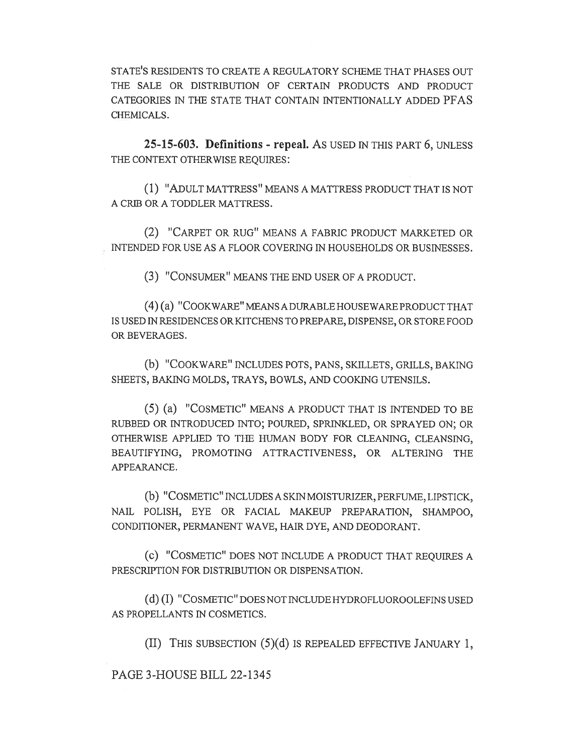STATE'S RESIDENTS TO CREATE A REGULATORY SCHEME THAT PHASES OUT THE SALE OR DISTRIBUTION OF CERTAIN PRODUCTS AND PRODUCT CATEGORIES IN THE STATE THAT CONTAIN INTENTIONALLY ADDED PFAS CHEMICALS.

25-15-603. Definitions - repeal. AS USED IN THIS PART 6, UNLESS THE CONTEXT OTHERWISE REQUIRES:

(1) "ADULT MATTRESS" MEANS A MATTRESS PRODUCT THAT IS NOT A CRIB OR A TODDLER MATTRESS.

(2) "CARPET OR RUG" MEANS A FABRIC PRODUCT MARKETED OR \_ INTENDED FOR USE AS A FLOOR COVERING IN HOUSEHOLDS OR BUSINESSES.

(3) "CONSUMER" MEANS THE END USER OF A PRODUCT.

(4) (a) "COOKWARE" MEANS A DURABLE HOUSEWARE PRODUCT THAT IS USED IN RESIDENCES OR KITCHENS TO PREPARE, DISPENSE, OR STORE FOOD OR BEVERAGES.

(b) "COOKWARE" INCLUDES POTS, PANS, SKILLETS, GRILLS, BAKING SHEETS, BAKING MOLDS, TRAYS, BOWLS, AND COOKING UTENSILS.

(5) (a) "COSMETIC" MEANS A PRODUCT THAT IS INTENDED TO BE RUBBED OR INTRODUCED INTO; POURED, SPRINKLED, OR SPRAYED ON; OR OTHERWISE APPLIED TO THE HUMAN BODY FOR CLEANING, CLEANSING, BEAUTIFYING, PROMOTING ATTRACTIVENESS, OR ALTERING THE APPEARANCE.

(b) "COSMETIC" INCLUDES A SKIN MOISTURIZER, PERFUME, LIPSTICK, NAIL POLISH, EYE OR FACIAL MAKEUP PREPARATION, SHAMPOO, CONDITIONER, PERMANENT WAVE, HAIR DYE, AND DEODORANT.

(c) "COSMETIC" DOES NOT INCLUDE A PRODUCT THAT REQUIRES A PRESCRIPTION FOR DISTRIBUTION OR DISPENSATION.

(d) (I) "COSMETIC" DOES NOT INCLUDE HYDROFLUOROOLEFINS USED AS PROPELLANTS IN COSMETICS.

(II) THIS SUBSECTION (5)(d) IS REPEALED EFFECTIVE JANUARY 1,

PAGE 3-HOUSE BILL 22-1345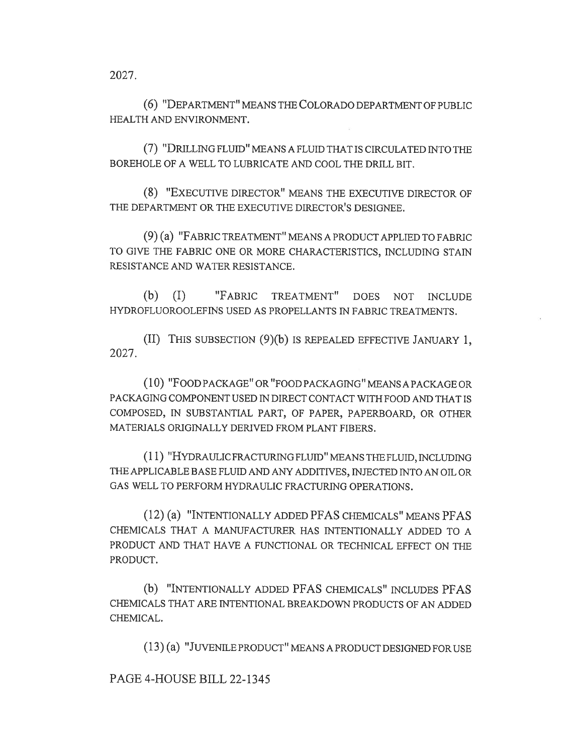2027.

(6) "DEPARTMENT" MEANS THE COLORADO DEPARTMENT OF PUBLIC HEALTH AND ENVIRONMENT.

(7) "DRILLING FLUID" MEANS A FLUID THAT IS CIRCULATED INTO THE BOREHOLE OF A WELL TO LUBRICATE AND COOL THE DRILL BIT.

(8) "EXECUTIVE DIRECTOR" MEANS THE EXECUTIVE DIRECTOR OF THE DEPARTMENT OR THE EXECUTIVE DIRECTOR'S DESIGNEE.

(9) (a) "FABRIC TREATMENT" MEANS A PRODUCT APPLIED TO FABRIC TO GIVE THE FABRIC ONE OR MORE CHARACTERISTICS, INCLUDING STAIN RESISTANCE AND WATER RESISTANCE.

(b) (I) "FABRIC TREATMENT" DOES NOT INCLUDE HYDROFLUOROOLEFINS USED AS PROPELLANTS IN FABRIC TREATMENTS.

(II) THIS SUBSECTION (9)(b) IS REPEALED EFFECTIVE JANUARY 1, 2027.

(10) "FOOD PACKAGE" OR "FOOD PACKAGING" MEANS A PACKAGE OR PACKAGING COMPONENT USED IN DIRECT CONTACT WITH FOOD AND THAT IS COMPOSED, IN SUBSTANTIAL PART, OF PAPER, PAPERBOARD, OR OTHER MATERIALS ORIGINALLY DERIVED FROM PLANT FIBERS.

(11) "HYDRAULIC FRACTURING FLUID" MEANS THE FLUID, INCLUDING THE APPLICABLE BASE FLUID AND ANY ADDITIVES, INJECTED INTO AN OIL OR GAS WELL TO PERFORM HYDRAULIC FRACTURING OPERATIONS.

(12) (a) "INTENTIONALLY ADDED PFAS CHEMICALS" MEANS PFAS CHEMICALS THAT A MANUFACTURER HAS INTENTIONALLY ADDED TO A PRODUCT AND THAT HAVE A FUNCTIONAL OR TECHNICAL EFFECT ON THE PRODUCT.

(b) "INTENTIONALLY ADDED PFAS CHEMICALS" INCLUDES PFAS CHEMICALS THAT ARE INTENTIONAL BREAKDOWN PRODUCTS OF AN ADDED CHEMICAL.

(13) (a) "JUVENILE PRODUCT" MEANS A PRODUCT DESIGNED FOR USE

PAGE 4-HOUSE BILL 22-1345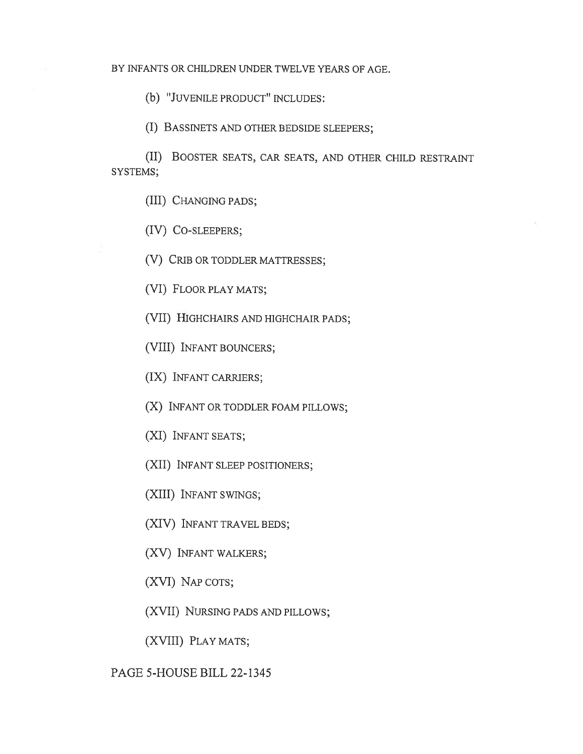(b) "JUVENILE PRODUCT" INCLUDES:

(I) BASSINETS AND OTHER BEDSIDE SLEEPERS;

(II) BOOSTER SEATS, CAR SEATS, AND OTHER CHILD RESTRAINT SYSTEMS;

(III) CHANGING PADS;

(IV) CO-SLEEPERS;

(V) CRIB OR TODDLER MATTRESSES;

(VI) FLOOR PLAY MATS;

(VII) HIGHCHAIRS AND HIGHCHAIR PADS;

(VIII) INFANT BOUNCERS;

(IX) INFANT CARRIERS;

(X) INFANT OR TODDLER FOAM PILLOWS;

(XI) INFANT SEATS;

(XII) INFANT SLEEP POSITIONERS;

(XIII) INFANT SWINGS;

(XIV) INFANT TRAVEL BEDS;

(XV) INFANT WALKERS;

(XVI) NAP COTS;

(XVII) NURSING PADS AND PILLOWS;

(XVIII) PLAY MATS;

PAGE 5-HOUSE BILL 22-1345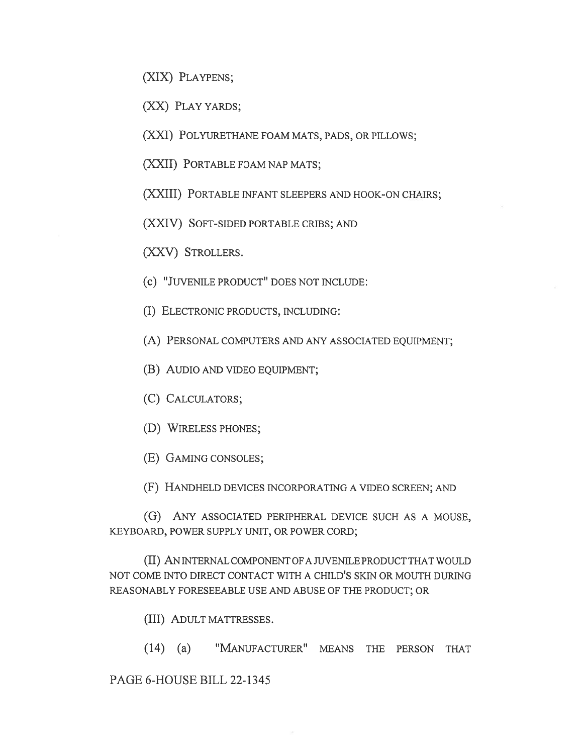(XIX) PLAYPENS;

(XX) PLAY YARDS;

(XXI) POLYURETHANE FOAM MATS, PADS, OR PILLOWS;

(XXII) PORTABLE FOAM NAP MATS;

(XXIII) PORTABLE INFANT SLEEPERS AND HOOK-ON CHAIRS;

(XXIV) SOFT-SIDED PORTABLE CRIBS; AND

(XXV) STROLLERS.

- (c) "JUVENILE PRODUCT" DOES NOT INCLUDE:
- (I) ELECTRONIC PRODUCTS, INCLUDING:
- (A) PERSONAL COMPUTERS AND ANY ASSOCIATED EQUIPMENT;
- (B) AUDIO AND VIDEO EQUIPMENT;
- (C) CALCULATORS;
- (D) WIRELESS PHONES;
- (E) GAMING CONSOLES;

(F) HANDHELD DEVICES INCORPORATING A VIDEO SCREEN; AND

(G) ANY ASSOCIATED PERIPHERAL DEVICE SUCH AS A MOUSE, KEYBOARD, POWER SUPPLY UNIT, OR POWER CORD;

(II) AN INTERNAL COMPONENT OF A JUVENILE PRODUCT THAT WOULD NOT COME INTO DIRECT CONTACT WITH A CHILD'S SKIN OR MOUTH DURING REASONABLY FORESEEABLE USE AND ABUSE OF THE PRODUCT; OR

- (III) ADULT MATTRESSES.
- (14) (a) "MANUFACTURER" MEANS THE PERSON THAT

PAGE 6-HOUSE BILL 22-1345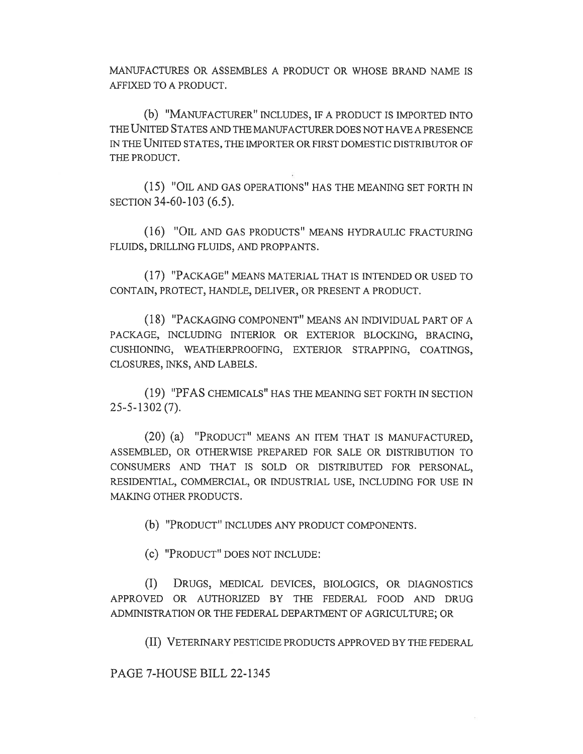MANUFACTURES OR ASSEMBLES A PRODUCT OR WHOSE BRAND NAME IS AFFIXED TO A PRODUCT.

(b) "MANUFACTURER" INCLUDES, IF A PRODUCT IS IMPORTED INTO THE UNITED STATES AND THE MANUFACTURER DOES NOT HAVE A PRESENCE IN THE UNITED STATES, THE IMPORTER OR FIRST DOMESTIC DISTRIBUTOR OF THE PRODUCT.

(15) "OIL AND GAS OPERATIONS" HAS THE MEANING SET FORTH IN SECTION 34-60-103 (6.5).

(16) "OIL AND GAS PRODUCTS" MEANS HYDRAULIC FRACTURING FLUIDS, DRILLING FLUIDS, AND PROPPANTS.

(17) "PACKAGE" MEANS MATERIAL THAT IS INTENDED OR USED TO CONTAIN, PROTECT, HANDLE, DELIVER, OR PRESENT A PRODUCT.

(18) "PACKAGING COMPONENT" MEANS AN INDIVIDUAL PART OF A PACKAGE, INCLUDING INTERIOR OR EXTERIOR BLOCKING, BRACING, CUSHIONING, WEATHERPROOFING, EXTERIOR STRAPPING, COATINGS, CLOSURES, INKS, AND LABELS.

(19) "PFAS CHEMICALS" HAS THE MEANING SET FORTH IN SECTION 25-5-1302 (7).

(20) (a) "PRODUCT" MEANS AN ITEM THAT IS MANUFACTURED, ASSEMBLED, OR OTHERWISE PREPARED FOR SALE OR DISTRIBUTION TO CONSUMERS AND THAT IS SOLD OR DISTRIBUTED FOR PERSONAL, RESIDENTIAL, COMMERCIAL, OR INDUSTRIAL USE, INCLUDING FOR USE IN MAKING OTHER PRODUCTS.

(b) "PRODUCT" INCLUDES ANY PRODUCT COMPONENTS.

(c) "PRODUCT" DOES NOT INCLUDE:

(I) DRUGS, MEDICAL DEVICES, BIOLOGICS, OR DIAGNOSTICS APPROVED OR AUTHORIZED BY THE FEDERAL FOOD AND DRUG ADMINISTRATION OR THE FEDERAL DEPARTMENT OF AGRICULTURE; OR

(II) VETERINARY PESTICIDE PRODUCTS APPROVED BY THE FEDERAL

PAGE 7-HOUSE BILL 22-1345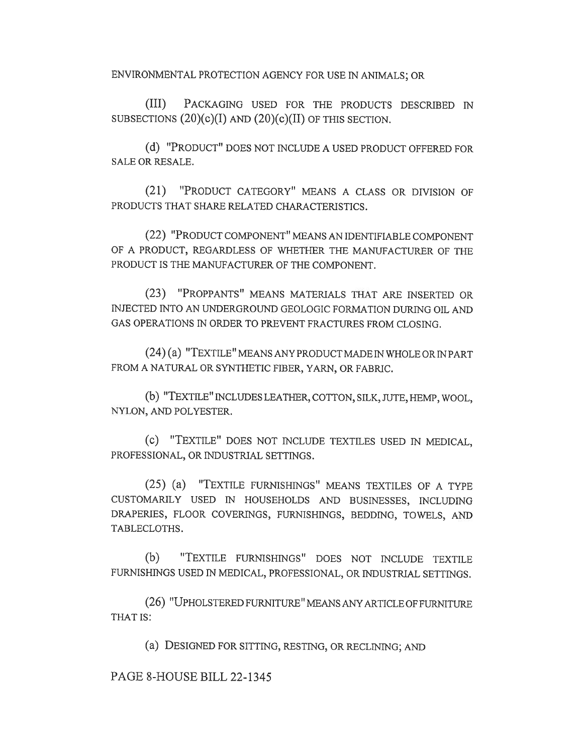ENVIRONMENTAL PROTECTION AGENCY FOR USE IN ANIMALS; OR

(III) PACKAGING USED FOR THE PRODUCTS DESCRIBED IN SUBSECTIONS  $(20)(c)(I)$  AND  $(20)(c)(II)$  OF THIS SECTION.

(d) "PRODUCT" DOES NOT INCLUDE A USED PRODUCT OFFERED FOR SALE OR RESALE.

(21) "PRODUCT CATEGORY" MEANS A CLASS OR DIVISION OF PRODUCTS THAT SHARE RELATED CHARACTERISTICS.

(22) "PRODUCT COMPONENT" MEANS AN IDENTIFIABLE COMPONENT OF A PRODUCT, REGARDLESS OF WHETHER THE MANUFACTURER OF THE PRODUCT IS THE MANUFACTURER OF THE COMPONENT.

(23) "PROPPANTS" MEANS MATERIALS THAT ARE INSERTED OR INJECTED INTO AN UNDERGROUND GEOLOGIC FORMATION DURING OIL AND GAS OPERATIONS IN ORDER TO PREVENT FRACTURES FROM CLOSING.

(24) (a) "TEXTILE" MEANS ANY PRODUCT MADE IN WHOLE OR IN PART FROM A NATURAL OR SYNTHETIC FIBER, YARN, OR FABRIC.

(b) "TEXTILE" INCLUDES LEATHER, COTTON, SILK, JUTE, HEMP, WOOL, NYLON, AND POLYESTER.

(C) "TEXTILE" DOES NOT INCLUDE TEXTILES USED IN MEDICAL, PROFESSIONAL, OR INDUSTRIAL SETTINGS.

(25) (a) "TEXTILE FURNISHINGS" MEANS TEXTILES OF A TYPE CUSTOMARILY USED IN HOUSEHOLDS AND BUSINESSES, INCLUDING DRAPERIES, FLOOR COVERINGS, FURNISHINGS, BEDDING, TOWELS, AND TABLECLOTHS.

(b) "TEXTILE FURNISHINGS" DOES NOT INCLUDE TEXTILE FURNISHINGS USED IN MEDICAL, PROFESSIONAL, OR INDUSTRIAL SETTINGS.

(26) "UPHOLSTERED FURNITURE" MEANS ANY ARTICLE OF FURNITURE THAT IS:

(a) DESIGNED FOR SITTING, RESTING, OR RECLINING; AND

PAGE 8-HOUSE BILL 22-1345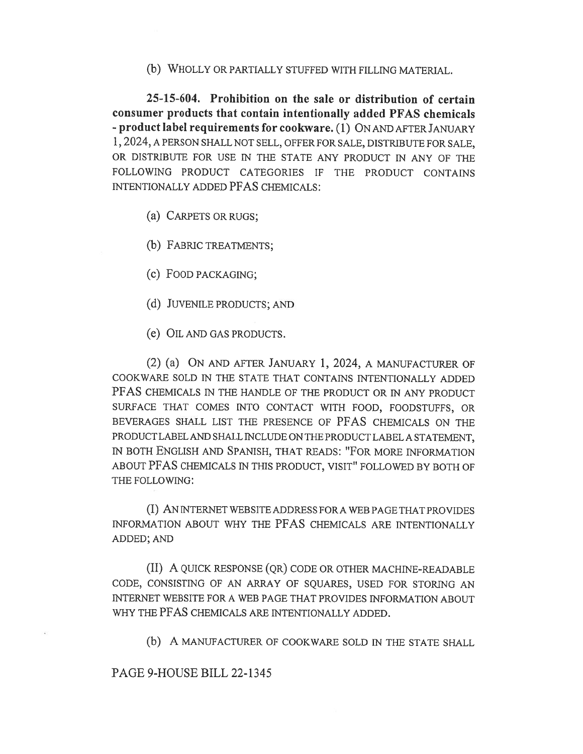(b) WHOLLY OR PARTIALLY STUFFED WITH FILLING MATERIAL.

25-15-604. Prohibition on the sale or distribution of certain consumer products that contain intentionally added PFAS chemicals - product label requirements for cookware. (1) ON AND AFTER JANUARY 1, 2024, A PERSON SHALL NOT SELL, OFFER FOR SALE, DISTRIBUTE FOR SALE, OR DISTRIBUTE FOR USE IN THE STATE ANY PRODUCT IN ANY OF THE FOLLOWING PRODUCT CATEGORIES IF THE PRODUCT CONTAINS INTENTIONALLY ADDED PFAS CHEMICALS:

(a) CARPETS OR RUGS;

(b) FABRIC TREATMENTS;

(c) FOOD PACKAGING;

- (d) JUVENILE PRODUCTS; AND
- (e) OIL AND GAS PRODUCTS.

(2) (a) ON AND AFTER JANUARY 1, 2024, A MANUFACTURER OF COOKWARE SOLD IN THE STATE THAT CONTAINS INTENTIONALLY ADDED PFAS CHEMICALS IN THE HANDLE OF THE PRODUCT OR IN ANY PRODUCT SURFACE THAT COMES INTO CONTACT WITH FOOD, FOODSTUFFS, OR BEVERAGES SHALL LIST THE PRESENCE OF PFAS CHEMICALS ON THE PRODUCT LABEL AND SHALL INCLUDE ON TIIE PRODUCT LABEL A STATEMENT, IN BOTH ENGLISH AND SPANISH, THAT READS: "FOR MORE INFORMATION ABOUT PFAS CHEMICALS IN THIS PRODUCT, VISIT" FOLLOWED BY BOTH OF THE FOLLOWING:

(I) AN INTERNET WEB SITE ADDRESS FOR A WEB PAGE THAT PROVIDES INFORMATION ABOUT WHY THE PFAS CHEMICALS ARE INTENTIONALLY ADDED; AND

(II) A QUICK RESPONSE (QR) CODE OR OTHER MACHINE-READABLE CODE, CONSISTING OF AN ARRAY OF SQUARES, USED FOR STORING AN INTERNET WEBSITE FOR A WEB PAGE THAT PROVIDES INFORMATION ABOUT WHY THE PFAS CHEMICALS ARE INTENTIONALLY ADDED.

(b) A MANUFACTURER OF COOKWARE SOLD IN THE STATE SHALL

PAGE 9-HOUSE BILL 22-1345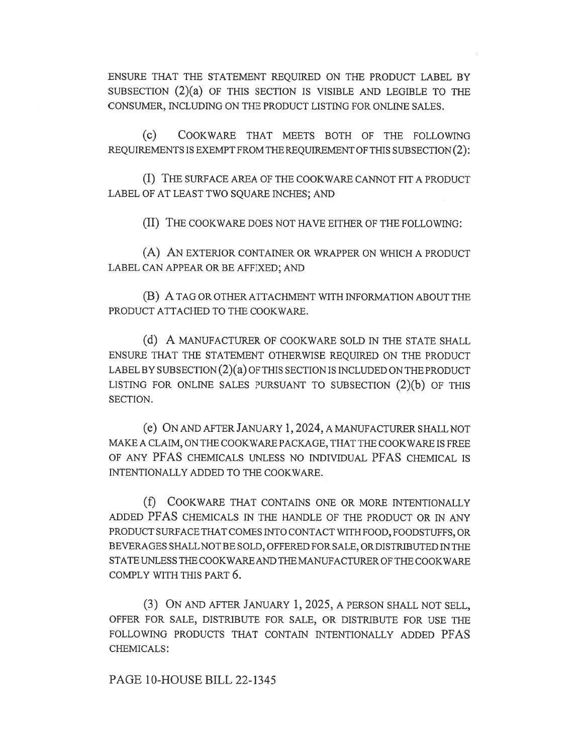ENSURE THAT THE STATEMENT REQUIRED ON THE PRODUCT LABEL BY SUBSECTION (2)(a) OF THIS SECTION IS VISIBLE AND LEGIBLE TO THE CONSUMER, INCLUDING ON THE PRODUCT LISTING FOR ONLINE SALES.

(c) COOKWARE THAT MEETS BOTH OF THE FOLLOWING REQUIREMENTS IS EXEMPT FROM THE REQUIREMENT OF THIS SUBSECTION (2):

(I) THE SURFACE AREA OF THE COOKWARE CANNOT FIT A PRODUCT LABEL OF AT LEAST TWO SQUARE INCHES; AND

(II) THE COOKWARE DOES NOT HAVE EITHER OF THE FOLLOWING:

(A) AN EXTERIOR CONTAINER OR WRAPPER ON WHICH A PRODUCT LABEL CAN APPEAR OR BE AFFIXED; AND

(B) A TAG OR OTHER ATTACHMENT WITH INFORMATION ABOUT THE PRODUCT ATTACHED TO THE COOKWARE.

(d) A MANUFACTURER OF COOKWARE SOLD IN THE STATE SHALL ENSURE THAT THE STATEMENT OTHERWISE REQUIRED ON THE PRODUCT LABEL BY SUBSECTION (2)(a) OF THIS SECTION IS INCLUDED ON THE PRODUCT LISTING FOR ONLINE SALES PURSUANT TO SUBSECTION  $(2)(b)$  OF THIS SECTION.

(e) ON AND AFTER JANUARY 1, 2024, A MANUFACTURER SHALL NOT MAKE A CLAIM, ON THE COOKWARE PACKAGE, THAT THE COOKWARE IS FREE OF ANY PFAS CHEMICALS UNLESS NO INDIVIDUAL PFAS CHEMICAL IS INTENTIONALLY ADDED TO THE COOKWARE.

(f) COOKWARE THAT CONTAINS ONE OR MORE INTENTIONALLY ADDED PFAS CHEMICALS IN THE HANDLE OF THE PRODUCT OR IN ANY PRODUCT SURFACE THAT COMES INTO CONTACT WITH FOOD, FOODSTUFFS, OR BEVERAGES SHALL NOT BE SOLD, OFFERED FOR SALE, OR DISTRIBUTED IN THE STATE UNLESS THE COOKWARE AND THE MANUFACTURER OF THE COOKWARE COMPLY WITH THIS PART 6.

(3) ON AND AFTER JANUARY 1, 2025, A PERSON SHALL NOT SELL, OFFER FOR SALE, DISTRIBUTE FOR SALE, OR DISTRIBUTE FOR USE THE FOLLOWING PRODUCTS THAT CONTAIN INTENTIONALLY ADDED PFAS CHEMICALS:

PAGE 10-HOUSE BILL 22-1345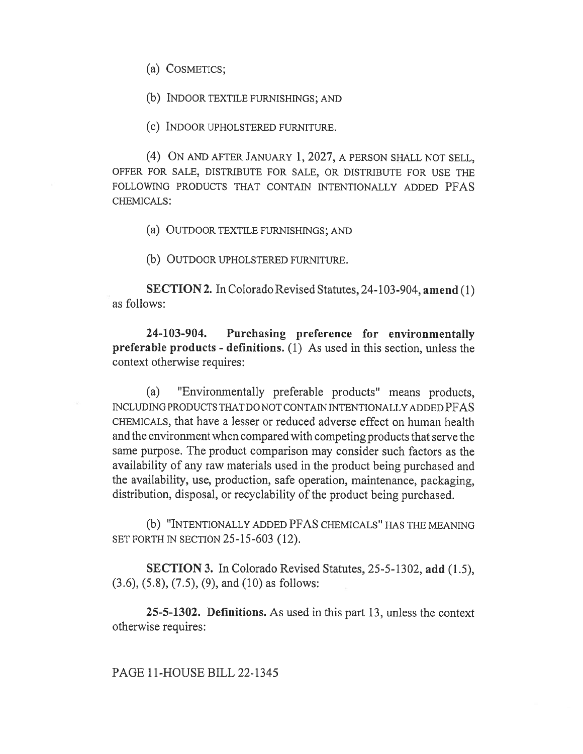(a) COSMETICS;

(b) INDOOR TEXTILE FURNISHINGS; AND

(c) INDOOR UPHOLSTERED FURNITURE.

(4) ON AND AFTER JANUARY 1, 2027, A PERSON SHALL NOT SELL, OFFER FOR SALE, DISTRIBUTE FOR SALE, OR DISTRIBUTE FOR USE THE FOLLOWING PRODUCTS THAT CONTAIN INTENTIONALLY ADDED PFAS CHEMICALS:

(a) OUTDOOR TEXTILE FURNISHINGS; AND

(b) OUTDOOR UPHOLSTERED FURNITURE.

SECTION 2. In Colorado Revised Statutes, 24-103-904, amend (1) as follows:

24-103-904. Purchasing preference for environmentally preferable products - definitions. (1) As used in this section, unless the context otherwise requires:

(a) "Environmentally preferable products" means products, INCLUDING PRODUCTS THAT DO NOT CONTAIN INTENTIONALLY ADDED PFAS CHEMICALS, that have a lesser or reduced adverse effect on human health and the environment when compared with competing products that serve the same purpose. The product comparison may consider such factors as the availability of any raw materials used in the product being purchased and the availability, use, production, safe operation, maintenance, packaging, distribution, disposal, or recyclability of the product being purchased.

(b) "INTENTIONALLY ADDED PFAS CHEMICALS" HAS THE MEANING SET FORTH IN SECTION 25-15-603 (12).

SECTION 3. In Colorado Revised Statutes, 25-5-1302, add (1.5), (3.6), (5.8), (7.5), (9), and (10) as follows:

25-5-1302. Definitions. As used in this part 13, unless the context otherwise requires:

PAGE 11-HOUSE BILL 22-1345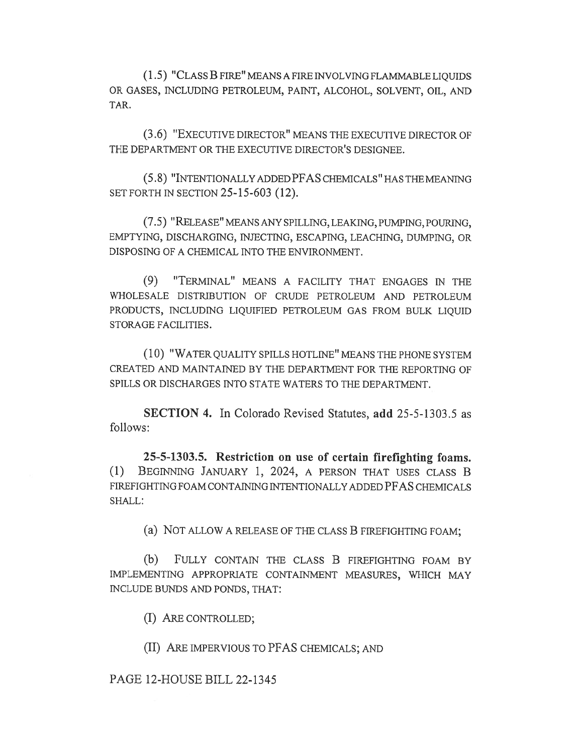(1.5) "CLASS B FIRE" MEANS A FIRE INVOLVING FLAMMABLE LIQUIDS OR GASES, INCLUDING PETROLEUM, PAINT, ALCOHOL, SOLVENT, OIL, AND TAR.

(3.6) "EXECUTIVE DIRECTOR" MEANS THE EXECUTIVE DIRECTOR OF THE DEPARTMENT OR THE EXECUTIVE DIRECTOR'S DESIGNEE.

(5.8) "INTENTIONALLY ADDED PFAS CHEMICALS" HAS THE MEANING SET FORTH IN SECTION 25-15-603 (12).

(7.5) "RELEASE" MEANS ANY SPILLING, LEAKING, PUMPING, POURING, EMPTYING, DISCHARGING, INJECTING, ESCAPING, LEACHING, DUMPING, OR DISPOSING OF A CHEMICAL INTO THE ENVIRONMENT.

(9) "TERMINAL" MEANS A FACILITY THAT ENGAGES IN THE WHOLESALE DISTRIBUTION OF CRUDE PETROLEUM AND PETROLEUM PRODUCTS, INCLUDING LIQUIFIED PETROLEUM GAS FROM BULK LIQUID STORAGE FACILITIES.

(10) "WATER QUALITY SPILLS HOTLINE" MEANS THE PHONE SYSTEM CREATED AND MAINTAINED BY THE DEPARTMENT FOR THE REPORTING OF SPILLS OR DISCHARGES INTO STATE WATERS TO THE DEPARTMENT.

SECTION 4. In Colorado Revised Statutes, add 25-5-1303.5 as follows:

25-5-1303.5. Restriction on use of certain firefighting foams. (1) BEGINNING JANUARY 1, 2024, A PERSON THAT USES CLASS B FIREFIGHTING FOAM CONTAINING INTENTIONALLY ADDED PFAS CHEMICALS SHALL:

(a) NOT ALLOW A RELEASE OF THE CLASS B FIREFIGHTING FOAM;

(b) FULLY CONTAIN THE CLASS B FIREFIGHTING FOAM BY IMPLEMENTING APPROPRIATE CONTAINMENT MEASURES, WHICH MAY INCLUDE BUNDS AND PONDS, THAT:

(I) ARE CONTROLLED;

(II) ARE IMPERVIOUS TO PFAS CHEMICALS; AND

PAGE 12-HOUSE BILL 22-1345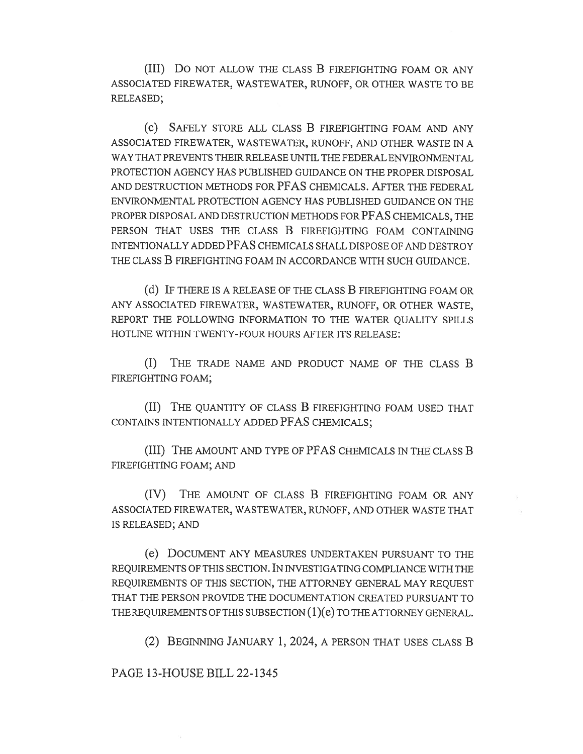(III) Do NOT ALLOW THE CLASS B FIREFIGHTING FOAM OR ANY ASSOCIATED FIREWATER, WASTEWATER, RUNOFF, OR OTHER WASTE TO BE RELEASED;

(C) SAFELY STORE ALL CLASS B FIREFIGHTING FOAM AND ANY ASSOCIATED FIREWATER, WASTEWATER, RUNOFF, AND OTHER WASTE IN A WAY THAT PREVENTS THEIR RELEASE UNTIL THE FEDERAL ENVIRONMENTAL PROTECTION AGENCY HAS PUBLISHED GUIDANCE ON THE PROPER DISPOSAL AND DESTRUCTION METHODS FOR PFAS CHEMICALS. AFTER THE FEDERAL ENVIRONMENTAL PROTECTION AGENCY HAS PUBLISHED GUIDANCE ON THE PROPER DISPOSAL AND DESTRUCTION METHODS FOR PFAS CHEMICALS, THE PERSON THAT USES THE CLASS B FIREFIGHTING FOAM CONTAINING INTENTIONALLY ADDED PFAS CHEMICALS SHALL DISPOSE OF AND DESTROY THE CLASS B FIREFIGHTING FOAM IN ACCORDANCE WITH SUCH GUIDANCE.

(d) IF THERE IS A RELEASE OF THE CLASS B FIREFIGHTING FOAM OR ANY ASSOCIATED FIREWATER, WASTEWATER, RUNOFF, OR OTHER WASTE, REPORT THE FOLLOWING INFORMATION TO THE WATER QUALITY SPILLS HOTLINE WITHIN TWENTY-FOUR HOURS AFTER ITS RELEASE:

(I) THE TRADE NAME AND PRODUCT NAME OF THE CLASS B FIREFIGHTING FOAM;

(II) THE QUANTITY OF CLASS B FIREFIGHTING FOAM USED THAT CONTAINS INTENTIONALLY ADDED PFAS CHEMICALS;

(III) THE AMOUNT AND TYPE OF PFAS CHEMICALS IN THE CLASS B FIREFIGHTING FOAM; AND

(IV) THE AMOUNT OF CLASS B FIREFIGHTING FOAM OR ANY ASSOCIATED FIREWATER, WASTEWATER, RUNOFF, AND OTHER WASTE THAT IS RELEASED; AND

(e) DOCUMENT ANY MEASURES UNDERTAKEN PURSUANT TO THE REQUIREMENTS OF THIS SECTION. IN INVESTIGATING COMPLIANCE WITH THE REQUIREMENTS OF THIS SECTION, THE ATTORNEY GENERAL MAY REQUEST THAT THE PERSON PROVIDE THE DOCUMENTATION CREATED PURSUANT TO THE REQUIREMENTS OF THIS SUBSECTION (1)(e) TO THE ATTORNEY GENERAL.

(2) BEGINNING JANUARY 1, 2024, A PERSON THAT USES CLASS B

PAGE 13-HOUSE BILL 22-1345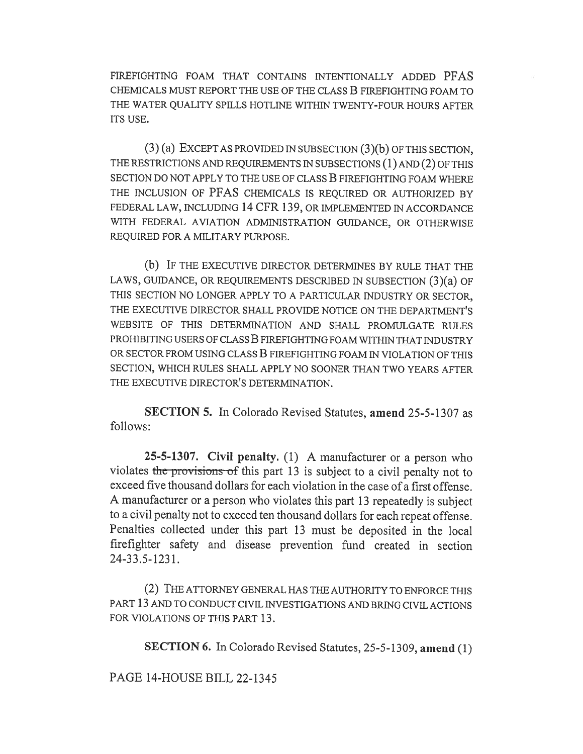FIREFIGHTING FOAM THAT CONTAINS INTENTIONALLY ADDED PFAS CHEMICALS MUST REPORT THE USE OF THE CLASS B FIREFIGHTING FOAM TO THE WATER QUALITY SPILLS HOTLINE WITHIN TWENTY-FOUR HOURS AFTER ITS USE.

(3) (a) EXCEPT AS PROVIDED IN SUBSECTION (3)(b) OF THIS SECTION, THE RESTRICTIONS AND REQUIREMENTS IN SUBSECTIONS (1) AND (2) OF THIS SECTION DO NOT APPLY TO THE USE OF CLASS B FIREFIGHTING FOAM WHERE THE INCLUSION OF PFAS CHEMICALS IS REQUIRED OR AUTHORIZED BY FEDERAL LAW, INCLUDING 14 CFR 139, OR IMPLEMENTED IN ACCORDANCE WITH FEDERAL AVIATION ADMINISTRATION GUIDANCE, OR OTHERWISE REQUIRED FOR A MILITARY PURPOSE.

(b) IF THE EXECUTIVE DIRECTOR DETERMINES BY RULE THAT THE LAWS, GUIDANCE, OR REQUIREMENTS DESCRIBED IN SUBSECTION (3)(a) OF THIS SECTION NO LONGER APPLY TO A PARTICULAR INDUSTRY OR SECTOR, THE EXECUTIVE DIRECTOR SHALL PROVIDE NOTICE ON THE DEPARTMENT'S WEBSITE OF THIS DETERMINATION AND SHALL PROMULGATE RULES PROHIBITING USERS OF CLASS B FIREFIGHTING FOAM WITHIN THAT INDUSTRY OR SECTOR FROM USING CLASS B FIREFIGHTING FOAM IN VIOLATION OF THIS SECTION, WHICH RULES SHALL APPLY NO SOONER THAN TWO YEARS AFTER THE EXECUTIVE DIRECTOR'S DETERMINATION.

SECTION 5. In Colorado Revised Statutes, amend 25-5-1307 as follows:

25-5-1307. Civil penalty. (1) A manufacturer or a person who violates the provisions of this part 13 is subject to a civil penalty not to exceed five thousand dollars for each violation in the case of a first offense. A manufacturer or a person who violates this part 13 repeatedly is subject to a civil penalty not to exceed ten thousand dollars for each repeat offense. Penalties collected under this part 13 must be deposited in the local firefighter safety and disease prevention fund created in section 24-33.5-1231.

(2) THE ATTORNEY GENERAL HAS THE AUTHORITY TO ENFORCE THIS PART 13 AND TO CONDUCT CIVIL INVESTIGATIONS AND BRING CIVIL ACTIONS FOR VIOLATIONS OF THIS PART 13.

SECTION 6. In Colorado Revised Statutes, 25-5-1309, amend (1)

PAGE 14-HOUSE BILL 22-1345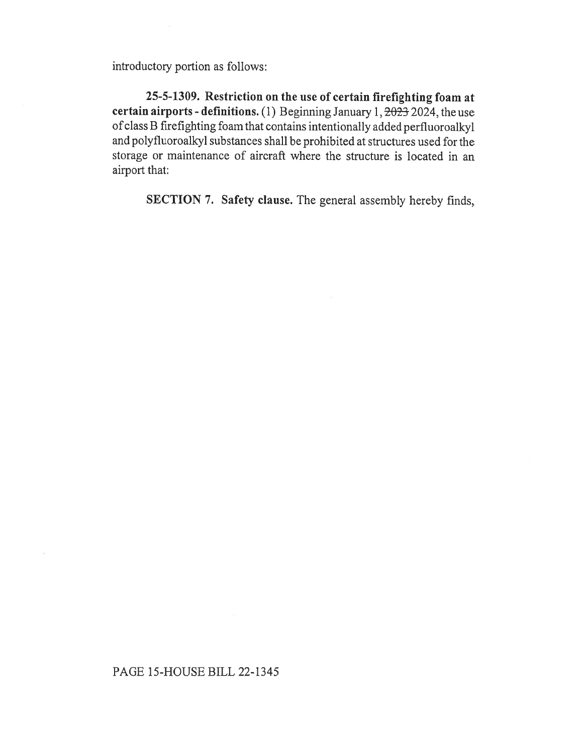introductory portion as follows:

25-5-1309. Restriction on the use of certain firefighting foam at certain airports - definitions. (1) Beginning January 1,  $2023$  2024, the use of class B firefighting foam that contains intentionally added perfluoroalkyl and polyfluoroalkyl substances shall be prohibited at structures used for the storage or maintenance of aircraft where the structure is located in an airport that:

SECTION 7. Safety clause. The general assembly hereby finds,